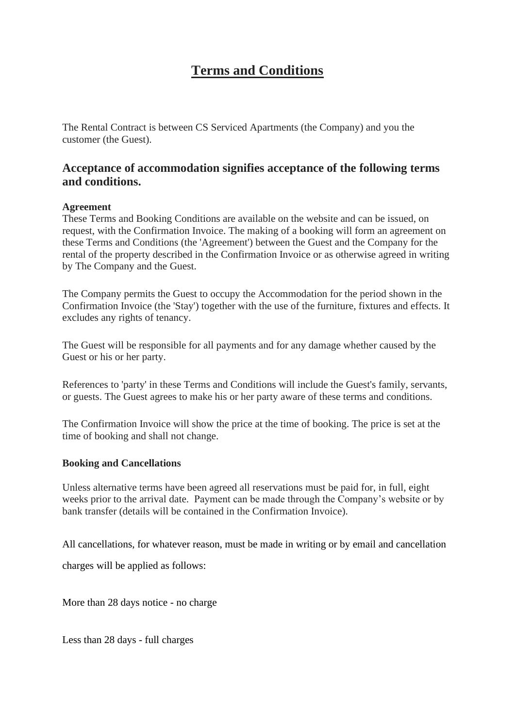# **Terms and Conditions**

The Rental Contract is between CS Serviced Apartments (the Company) and you the customer (the Guest).

## **Acceptance of accommodation signifies acceptance of the following terms and conditions.**

#### **Agreement**

These Terms and Booking Conditions are available on the website and can be issued, on request, with the Confirmation Invoice. The making of a booking will form an agreement on these Terms and Conditions (the 'Agreement') between the Guest and the Company for the rental of the property described in the Confirmation Invoice or as otherwise agreed in writing by The Company and the Guest.

The Company permits the Guest to occupy the Accommodation for the period shown in the Confirmation Invoice (the 'Stay') together with the use of the furniture, fixtures and effects. It excludes any rights of tenancy.

The Guest will be responsible for all payments and for any damage whether caused by the Guest or his or her party.

References to 'party' in these Terms and Conditions will include the Guest's family, servants, or guests. The Guest agrees to make his or her party aware of these terms and conditions.

The Confirmation Invoice will show the price at the time of booking. The price is set at the time of booking and shall not change.

#### **Booking and Cancellations**

Unless alternative terms have been agreed all reservations must be paid for, in full, eight weeks prior to the arrival date. Payment can be made through the Company's website or by bank transfer (details will be contained in the Confirmation Invoice).

All cancellations, for whatever reason, must be made in writing or by email and cancellation

charges will be applied as follows:

More than 28 days notice - no charge

Less than 28 days - full charges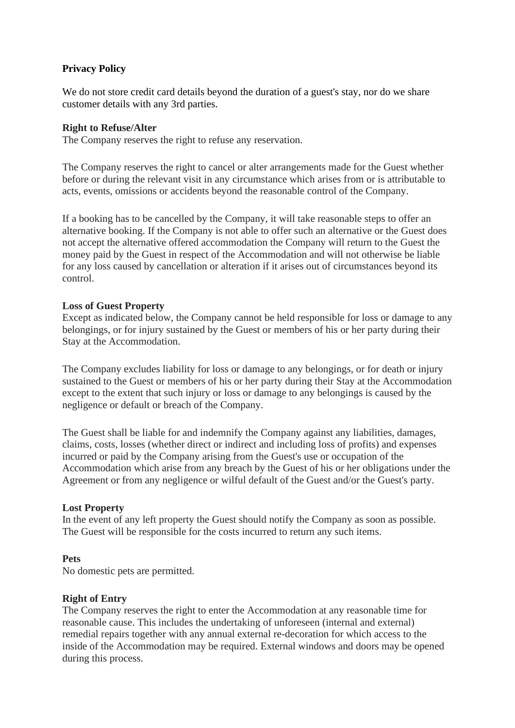### **Privacy Policy**

We do not store credit card details beyond the duration of a guest's stay, nor do we share customer details with any 3rd parties.

#### **Right to Refuse/Alter**

The Company reserves the right to refuse any reservation.

The Company reserves the right to cancel or alter arrangements made for the Guest whether before or during the relevant visit in any circumstance which arises from or is attributable to acts, events, omissions or accidents beyond the reasonable control of the Company.

If a booking has to be cancelled by the Company, it will take reasonable steps to offer an alternative booking. If the Company is not able to offer such an alternative or the Guest does not accept the alternative offered accommodation the Company will return to the Guest the money paid by the Guest in respect of the Accommodation and will not otherwise be liable for any loss caused by cancellation or alteration if it arises out of circumstances beyond its control.

#### **Loss of Guest Property**

Except as indicated below, the Company cannot be held responsible for loss or damage to any belongings, or for injury sustained by the Guest or members of his or her party during their Stay at the Accommodation.

The Company excludes liability for loss or damage to any belongings, or for death or injury sustained to the Guest or members of his or her party during their Stay at the Accommodation except to the extent that such injury or loss or damage to any belongings is caused by the negligence or default or breach of the Company.

The Guest shall be liable for and indemnify the Company against any liabilities, damages, claims, costs, losses (whether direct or indirect and including loss of profits) and expenses incurred or paid by the Company arising from the Guest's use or occupation of the Accommodation which arise from any breach by the Guest of his or her obligations under the Agreement or from any negligence or wilful default of the Guest and/or the Guest's party.

#### **Lost Property**

In the event of any left property the Guest should notify the Company as soon as possible. The Guest will be responsible for the costs incurred to return any such items.

#### **Pets**

No domestic pets are permitted.

#### **Right of Entry**

The Company reserves the right to enter the Accommodation at any reasonable time for reasonable cause. This includes the undertaking of unforeseen (internal and external) remedial repairs together with any annual external re-decoration for which access to the inside of the Accommodation may be required. External windows and doors may be opened during this process.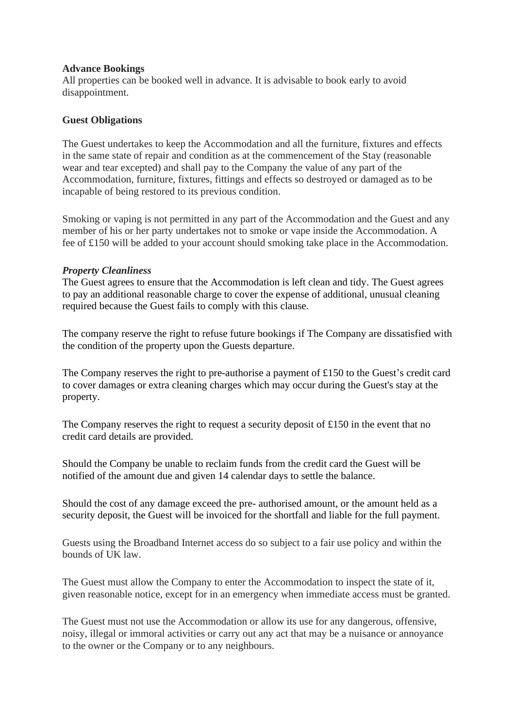#### **Advance Bookings**

All properties can be booked well in advance. It is advisable to book early to avoid disappointment.

#### **Guest Obligations**

The Guest undertakes to keep the Accommodation and all the furniture, fixtures and effects in the same state of repair and condition as at the commencement of the Stay (reasonable wear and tear excepted) and shall pay to the Company the value of any part of the Accommodation, furniture, fixtures, fittings and effects so destroyed or damaged as to be incapable of being restored to its previous condition.

Smoking or vaping is not permitted in any part of the Accommodation and the Guest and any member of his or her party undertakes not to smoke or vape inside the Accommodation. A fee of £150 will be added to your account should smoking take place in the Accommodation.

#### *Property Cleanliness*

The Guest agrees to ensure that the Accommodation is left clean and tidy. The Guest agrees to pay an additional reasonable charge to cover the expense of additional, unusual cleaning required because the Guest fails to comply with this clause.

The company reserve the right to refuse future bookings if The Company are dissatisfied with the condition of the property upon the Guests departure.

The Company reserves the right to pre-authorise a payment of £150 to the Guest's credit card to cover damages or extra cleaning charges which may occur during the Guest's stay at the property.

The Company reserves the right to request a security deposit of  $\pounds$ 150 in the event that no credit card details are provided.

Should the Company be unable to reclaim funds from the credit card the Guest will be notified of the amount due and given 14 calendar days to settle the balance.

Should the cost of any damage exceed the pre- authorised amount, or the amount held as a security deposit, the Guest will be invoiced for the shortfall and liable for the full payment.

Guests using the Broadband Internet access do so subject to a fair use policy and within the bounds of UK law.

The Guest must allow the Company to enter the Accommodation to inspect the state of it, given reasonable notice, except for in an emergency when immediate access must be granted.

The Guest must not use the Accommodation or allow its use for any dangerous, offensive, noisy, illegal or immoral activities or carry out any act that may be a nuisance or annoyance to the owner or the Company or to any neighbours.